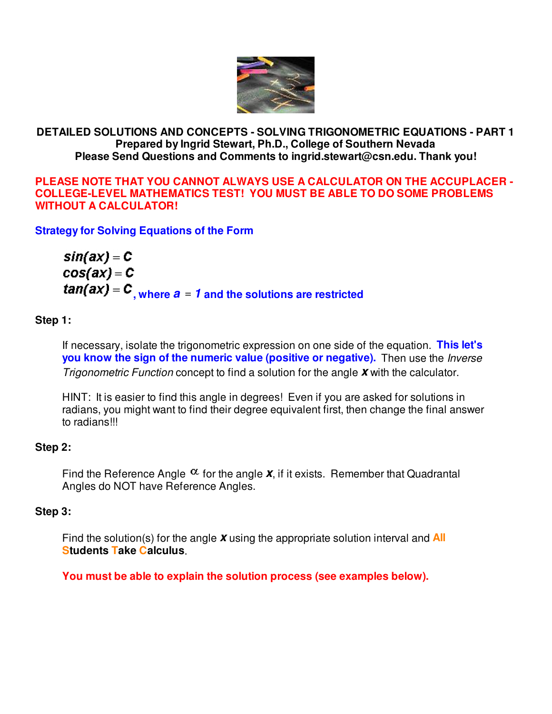

# **DETAILED SOLUTIONS AND CONCEPTS - SOLVING TRIGONOMETRIC EQUATIONS - PART 1 Prepared by Ingrid Stewart, Ph.D., College of Southern Nevada Please Send Questions and Comments to ingrid.stewart@csn.edu. Thank you!**

**PLEASE NOTE THAT YOU CANNOT ALWAYS USE A CALCULATOR ON THE ACCUPLACER - COLLEGE-LEVEL MATHEMATICS TEST! YOU MUST BE ABLE TO DO SOME PROBLEMS WITHOUT A CALCULATOR!**

**Strategy for Solving Equations of the Form** 

 $sin(ax) = C$  $cos(ax) = C$  $tan(ax) = C$ , where  $a = 1$  and the solutions are restricted

# **Step 1:**

If necessary, isolate the trigonometric expression on one side of the equation. **This let's you know the sign of the numeric value (positive or negative).** Then use the *Inverse* Trigonometric Function concept to find a solution for the angle **x** with the calculator.

HINT: It is easier to find this angle in degrees! Even if you are asked for solutions in radians, you might want to find their degree equivalent first, then change the final answer to radians!!!

# **Step 2:**

Find the Reference Angle  $\alpha$  for the angle **x**, if it exists. Remember that Quadrantal Angles do NOT have Reference Angles.

# **Step 3:**

Find the solution(s) for the angle **x** using the appropriate solution interval and **All Students Take Calculus**.

**You must be able to explain the solution process (see examples below).**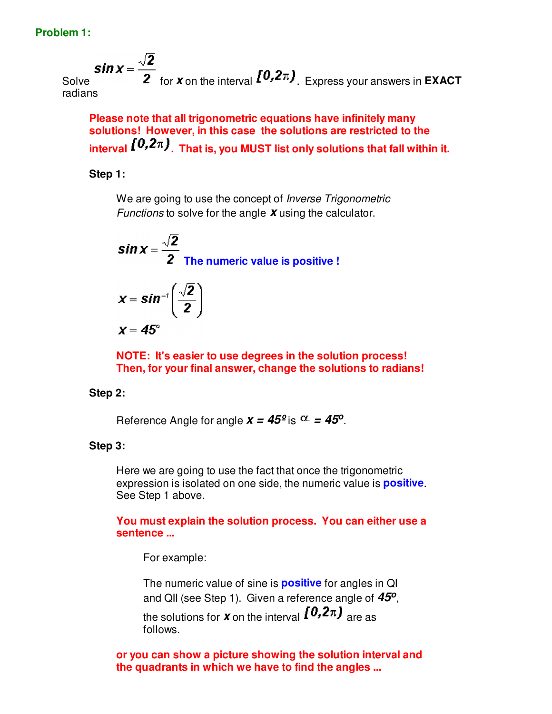#### **Problem 1:**

Solve  $\sin x = \frac{\sqrt{2}}{2}$  for **x** on the interval  $\int_0^{\infty} 0, 2\pi$ , Express your answers in **EXACT** radians

**Please note that all trigonometric equations have infinitely many solutions! However, in this case the solutions are restricted to the**  interval  $\{0, 2\pi\}$ . That is, you MUST list only solutions that fall within it.

#### **Step 1:**

We are going to use the concept of *Inverse Trigonometric* Functions to solve for the angle **x** using the calculator.

$$
\boldsymbol{\mathit{sin}\,x} = \frac{\sqrt{2}}{2}
$$
 The numeric value is positive !

$$
x = \sin^{-t}\left(\frac{\sqrt{2}}{2}\right)
$$

 $X = 45^\circ$ 

**NOTE: It's easier to use degrees in the solution process! Then, for your final answer, change the solutions to radians!**

#### **Step 2:**

Reference Angle for angle  $x = 45^{\circ}$  is  $\alpha = 45^{\circ}$ .

#### **Step 3:**

Here we are going to use the fact that once the trigonometric expression is isolated on one side, the numeric value is **positive**. See Step 1 above.

#### **You must explain the solution process. You can either use a sentence ...**

For example:

The numeric value of sine is **positive** for angles in QI and QII (see Step 1). Given a reference angle of **45<sup>o</sup>** , the solutions for **x** on the interval  $[0,2\pi)$  are as follows.

**or you can show a picture showing the solution interval and the quadrants in which we have to find the angles ...**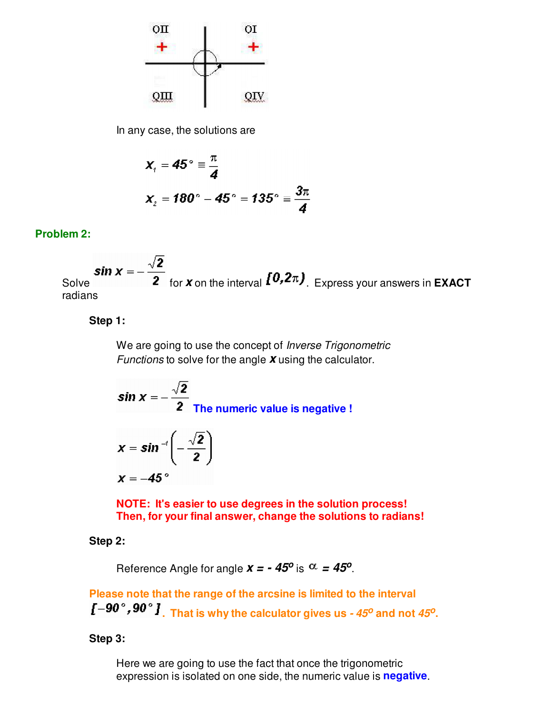

In any case, the solutions are

$$
x_{1} = 45^{\circ} \equiv \frac{\pi}{4}
$$
  

$$
x_{2} = 180^{\circ} - 45^{\circ} = 135^{\circ} \equiv \frac{3\pi}{4}
$$

## **Problem 2:**

**Solve Sin**  $x = -\frac{\sqrt{2}}{2}$  for **x** on the interval  $\left[0, 2\pi\right)$ . Express your answers in **EXACT** radians

### **Step 1:**

We are going to use the concept of *Inverse Trigonometric* Functions to solve for the angle **x** using the calculator.

sin x = 
$$
-\frac{\sqrt{2}}{2}
$$
  
The numeric value is negative !

$$
x = \sin^{-1}\left(-\frac{\sqrt{2}}{2}\right)
$$

$$
x = 45^{\circ}
$$

**NOTE: It's easier to use degrees in the solution process! Then, for your final answer, change the solutions to radians!**

**Step 2:**

Reference Angle for angle  $x = -45^{\circ}$  is  $\alpha = 45^{\circ}$ .

**Please note that the range of the arcsine is limited to the interval . That is why the calculator gives us - 45<sup>o</sup> and not 45<sup>o</sup> .**

**Step 3:** 

Here we are going to use the fact that once the trigonometric expression is isolated on one side, the numeric value is **negative**.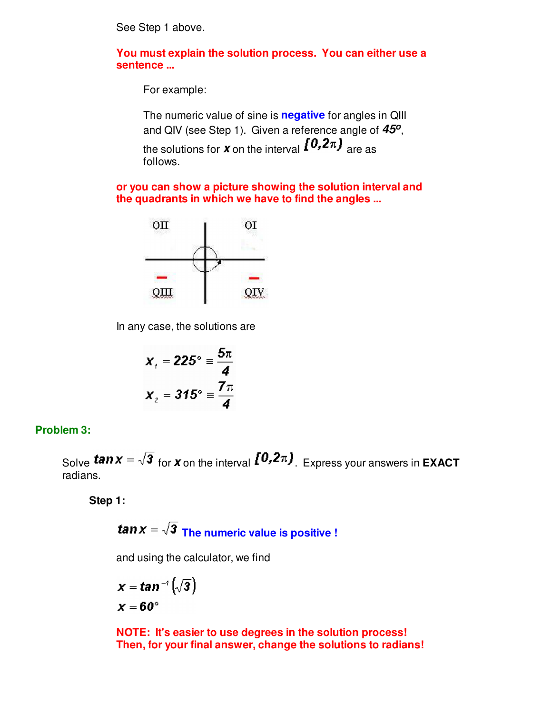See Step 1 above.

**You must explain the solution process. You can either use a sentence ...**

For example:

The numeric value of sine is **negative** for angles in QIII and QIV (see Step 1). Given a reference angle of **45<sup>o</sup>** , the solutions for **x** on the interval  $[0, 2\pi)$  are as follows.

**or you can show a picture showing the solution interval and the quadrants in which we have to find the angles ...**



In any case, the solutions are

$$
x_{1} = 225^{\circ} \equiv \frac{5\pi}{4}
$$

$$
x_{2} = 315^{\circ} \equiv \frac{7\pi}{4}
$$

#### **Problem 3:**

Solve **tan**  $x = \sqrt{3}$  for **x** on the interval  $\left[0, 2\pi\right)$ . Express your answers in **EXACT** radians.

**Step 1:**

$$
tan x = \sqrt{3}
$$
 The numeric value is positive !

and using the calculator, we find

$$
x = \tan^{-1}(\sqrt{3})
$$
  

$$
x = 60^{\circ}
$$

**NOTE: It's easier to use degrees in the solution process! Then, for your final answer, change the solutions to radians!**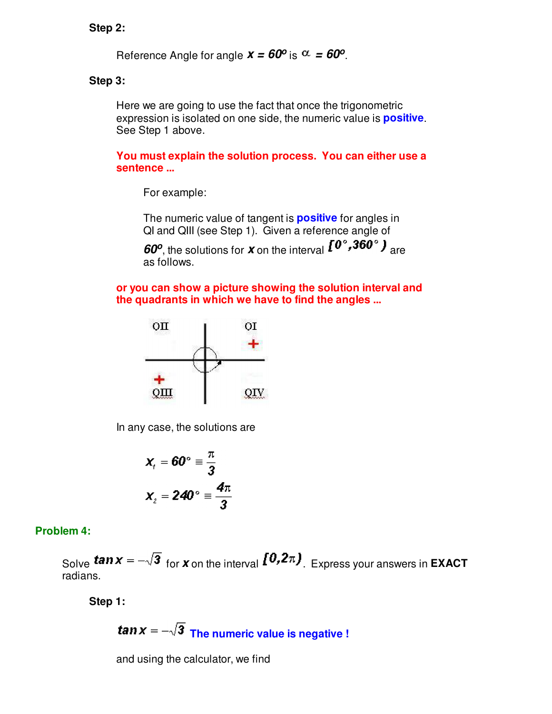#### **Step 2:**

Reference Angle for angle  $x = 60^{\circ}$  is  $\alpha = 60^{\circ}$ .

#### **Step 3:**

Here we are going to use the fact that once the trigonometric expression is isolated on one side, the numeric value is **positive**. See Step 1 above.

**You must explain the solution process. You can either use a sentence ...**

For example:

The numeric value of tangent is **positive** for angles in QI and QIII (see Step 1). Given a reference angle of

**60<sup>o</sup>**, the solutions for **x** on the interval  $\mathbf{I}^{\mathbf{0}}$ , **300**<sup>o</sup>  $\mathbf{J}$  are as follows.

**or you can show a picture showing the solution interval and the quadrants in which we have to find the angles ...**



In any case, the solutions are

$$
x_{1} = 60^{\circ} \equiv \frac{\pi}{3}
$$

$$
x_{2} = 240^{\circ} \equiv \frac{4\pi}{3}
$$

#### **Problem 4:**

Solve **tan**  $x = -\sqrt{3}$  for **x** on the interval  $\left[0, 2\pi\right)$ . Express your answers in **EXACT** radians.

**Step 1:**

**tan**  $x = -\sqrt{3}$  The numeric value is negative !

and using the calculator, we find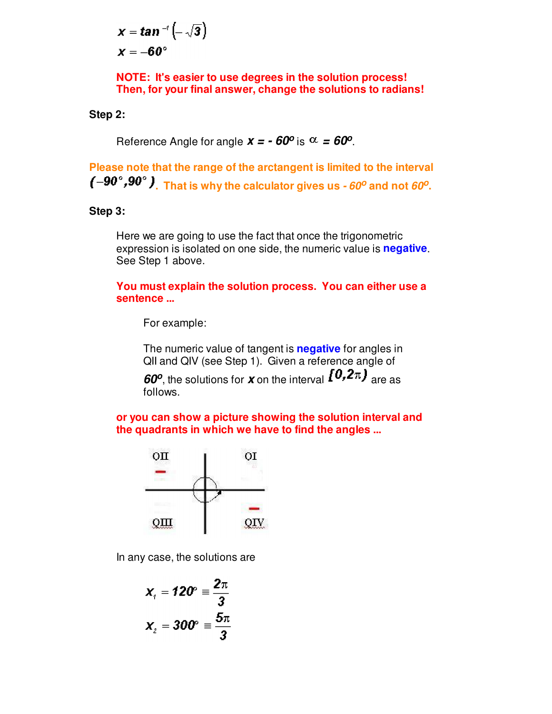$$
x = \tan^{-1}\left(-\sqrt{3}\right)
$$

$$
x = -60^{\circ}
$$

**NOTE: It's easier to use degrees in the solution process! Then, for your final answer, change the solutions to radians!**

**Step 2:**

Reference Angle for angle  $x = -60^\circ$  is  $\alpha = 60^\circ$ .

**Please note that the range of the arctangent is limited to the interval**   $(-90^\circ, 90^\circ)$ . That is why the calculator gives us  $\cdot 60^\circ$  and not  $60^\circ$ .

#### **Step 3:**

Here we are going to use the fact that once the trigonometric expression is isolated on one side, the numeric value is **negative**. See Step 1 above.

**You must explain the solution process. You can either use a sentence ...**

For example:

The numeric value of tangent is **negative** for angles in QII and QIV (see Step 1). Given a reference angle of

**60<sup>o</sup>**, the solutions for **x** on the interval  $\mathbf{I}^{\mathbf{U},\mathbf{Z}\pi}$  are as follows.

**or you can show a picture showing the solution interval and the quadrants in which we have to find the angles ...**



In any case, the solutions are

$$
X_{\rm r} = 120^{\circ} \equiv \frac{2\pi}{3}
$$

$$
X_{\rm r} = 300^{\circ} \equiv \frac{5\pi}{3}
$$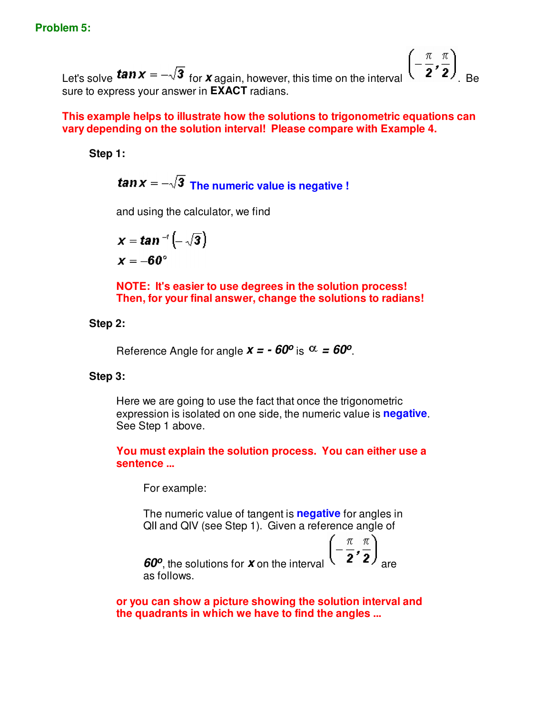Let's solve **tan**  $x = -\sqrt{3}$  for **x** again, however, this time on the interval  $\left(-\frac{\pi}{2}, \frac{\pi}{2}\right)$ . sure to express your answer in **EXACT** radians.

### **This example helps to illustrate how the solutions to trigonometric equations can vary depending on the solution interval! Please compare with Example 4.**

**Step 1:**

**tan** $x = -\sqrt{3}$  The numeric value is negative !

and using the calculator, we find

$$
x = \tan^{-1}\left(-\sqrt{3}\right)
$$

$$
x = -60^{\circ}
$$

**NOTE: It's easier to use degrees in the solution process! Then, for your final answer, change the solutions to radians!**

#### **Step 2:**

Reference Angle for angle  $x = -60^\circ$  is  $\alpha = 60^\circ$ .

#### **Step 3:**

Here we are going to use the fact that once the trigonometric expression is isolated on one side, the numeric value is **negative**. See Step 1 above.

**You must explain the solution process. You can either use a sentence ...**

For example:

The numeric value of tangent is **negative** for angles in QII and QIV (see Step 1). Given a reference angle of

**60<sup>o</sup>**, the solutions for **x** on the interval  $\binom{2}{3}$  are as follows.

**or you can show a picture showing the solution interval and the quadrants in which we have to find the angles ...**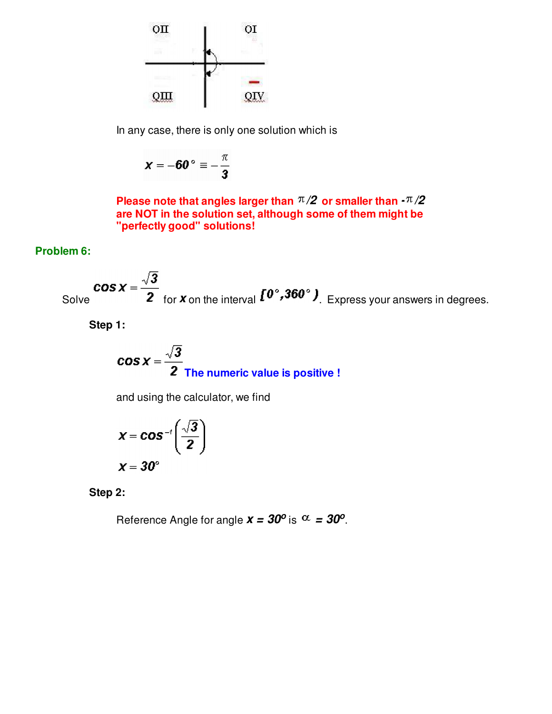

In any case, there is only one solution which is

$$
x=-60^{\circ}\equiv-\frac{\pi}{3}
$$

**Please note that angles larger than**  $\pi/2$  **or smaller than**  $\cdot \pi/2$ **are NOT in the solution set, although some of them might be "perfectly good" solutions!**

# **Problem 6:**

Solve 
$$
\cos x = \frac{\sqrt{3}}{2}
$$
 for **x** on the interval  $[0^\circ, 360^\circ]$ . Express your answers in degrees.

**Step 1:**

$$
\cos x = \frac{\sqrt{3}}{2}
$$
 The numeric value is positive !

and using the calculator, we find

$$
x = \cos^{-t}\left(\frac{\sqrt{3}}{2}\right)
$$

$$
x = 30^{\circ}
$$

**Step 2:**

Reference Angle for angle  $x = 30^{\circ}$  is  $\alpha = 30^{\circ}$ .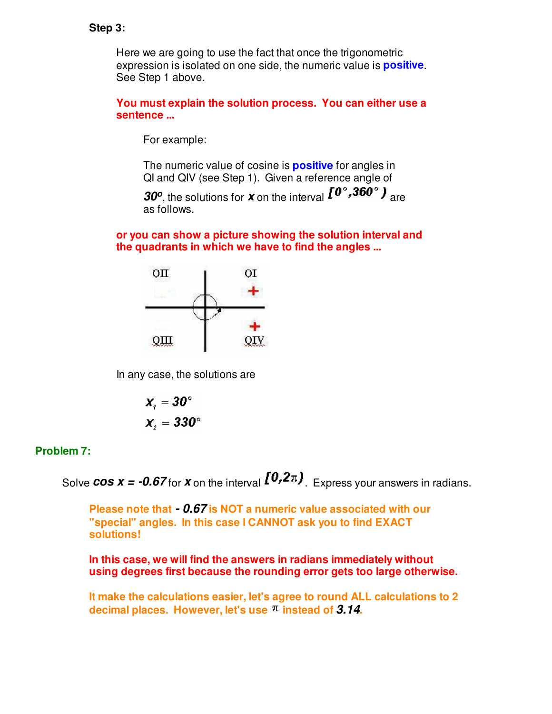#### **Step 3:**

Here we are going to use the fact that once the trigonometric expression is isolated on one side, the numeric value is **positive**. See Step 1 above.

## **You must explain the solution process. You can either use a sentence ...**

For example:

The numeric value of cosine is **positive** for angles in QI and QIV (see Step 1). Given a reference angle of

**30<sup>o</sup>**, the solutions for **x** on the interval  $\mathbf{I}^{\mathbf{0}}$ , **300**<sup>o</sup>  $\mathbf{J}$  are as follows.

**or you can show a picture showing the solution interval and the quadrants in which we have to find the angles ...**



In any case, the solutions are

$$
x_{i} = 30^{\circ}
$$

$$
x_{i} = 330^{\circ}
$$

# **Problem 7:**

Solve **cos x = -0.67** for **x** on the interval  $[0, 2\pi]$ . Express your answers in radians.

**Please note that - 0.67 is NOT a numeric value associated with our "special" angles. In this case I CANNOT ask you to find EXACT solutions!**

**In this case, we will find the answers in radians immediately without using degrees first because the rounding error gets too large otherwise.**

**It make the calculations easier, let's agree to round ALL calculations to 2 decimal places. However, let's use instead of 3.14.**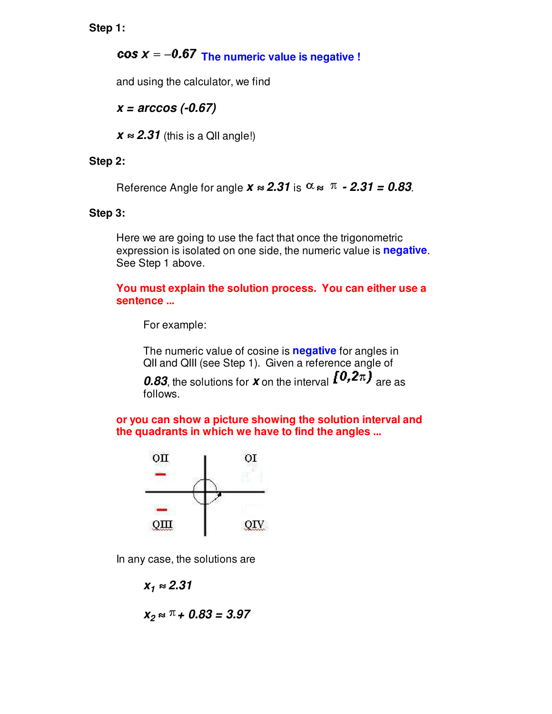**Step 1:**

**COS**  $x = -0.67$  The numeric value is negative !

and using the calculator, we find

**x = arccos (-0.67)**

 $\boldsymbol{x} \approx 2.31$  (this is a QII angle!)

## **Step 2:**

Reference Angle for angle  $x \approx 2.31$  is  $\alpha \approx \pi - 2.31 = 0.83$ .

### **Step 3:**

Here we are going to use the fact that once the trigonometric expression is isolated on one side, the numeric value is **negative**. See Step 1 above.

**You must explain the solution process. You can either use a sentence ...**

For example:

The numeric value of cosine is **negative** for angles in QII and QIII (see Step 1). Given a reference angle of

**0.83**, the solutions for **x** on the interval  $\{0,2\pi\}$  are as follows.

**or you can show a picture showing the solution interval and the quadrants in which we have to find the angles ...**



In any case, the solutions are

 $X_1 \approx 2.31$ 

$$
X_2 \approx \pi + 0.83 = 3.97
$$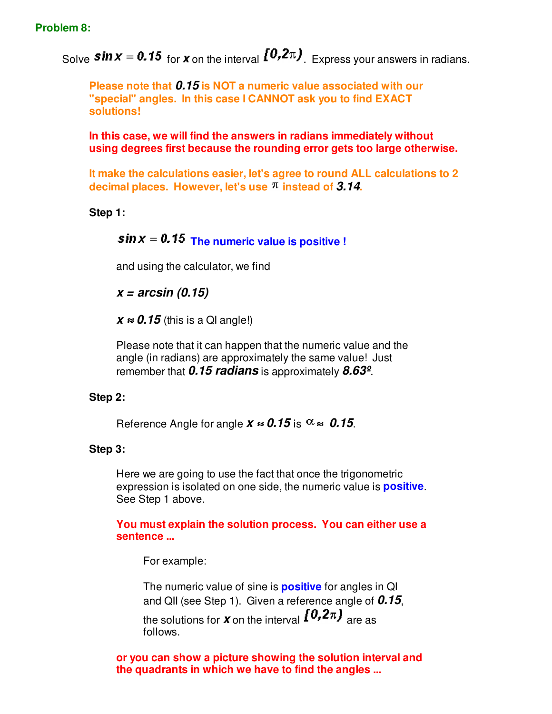Solve **Sin X** = **0.15** for **X** on the interval  $[0, 2\pi]$ . Express your answers in radians.

**Please note that 0.15 is NOT a numeric value associated with our "special" angles. In this case I CANNOT ask you to find EXACT solutions!**

**In this case, we will find the answers in radians immediately without using degrees first because the rounding error gets too large otherwise.**

**It make the calculations easier, let's agree to round ALL calculations to 2 decimal places. However, let's use instead of 3.14.**

**Step 1:**

# $\sin x = 0.15$  The numeric value is positive !

and using the calculator, we find

**x = arcsin (0.15)**

 $\boldsymbol{x} \approx \boldsymbol{0.15}$  (this is a QI angle!)

Please note that it can happen that the numeric value and the angle (in radians) are approximately the same value! Just remember that **0.15 radians** is approximately **8.63º**.

# **Step 2:**

Reference Angle for angle  $x \approx 0.15$  is  $\alpha \approx 0.15$ .

# **Step 3:**

Here we are going to use the fact that once the trigonometric expression is isolated on one side, the numeric value is **positive**. See Step 1 above.

# **You must explain the solution process. You can either use a sentence ...**

For example:

The numeric value of sine is **positive** for angles in QI and QII (see Step 1). Given a reference angle of **0.15**, the solutions for **x** on the interval  $[0,2\pi)$  are as follows.

**or you can show a picture showing the solution interval and the quadrants in which we have to find the angles ...**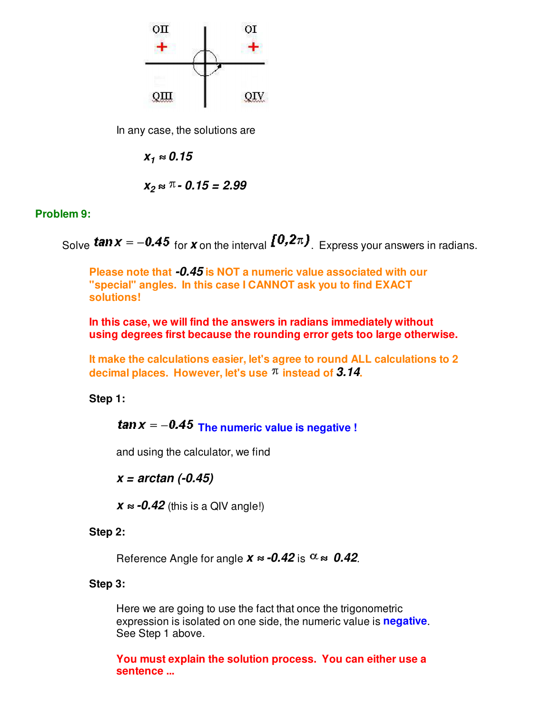

In any case, the solutions are

 $X_1 \approx 0.15$ 

$$
X_2 \approx \pi - 0.15 = 2.99
$$

## **Problem 9:**

Solve **tan**  $x = -0.45$  for **x** on the interval  $\left[0.2\pi\right)$ . Express your answers in radians.

**Please note that -0.45 is NOT a numeric value associated with our "special" angles. In this case I CANNOT ask you to find EXACT solutions!**

**In this case, we will find the answers in radians immediately without using degrees first because the rounding error gets too large otherwise.**

**It make the calculations easier, let's agree to round ALL calculations to 2 decimal places. However, let's use instead of 3.14.**

#### **Step 1:**

 $\tan x = -0.45$  The numeric value is negative !

and using the calculator, we find

**x = arctan (-0.45)**

 $\boldsymbol{X} \approx -0.42$  (this is a QIV angle!)

#### **Step 2:**

Reference Angle for angle  $x \approx -0.42$  is  $\alpha \approx 0.42$ .

#### **Step 3:**

Here we are going to use the fact that once the trigonometric expression is isolated on one side, the numeric value is **negative**. See Step 1 above.

**You must explain the solution process. You can either use a sentence ...**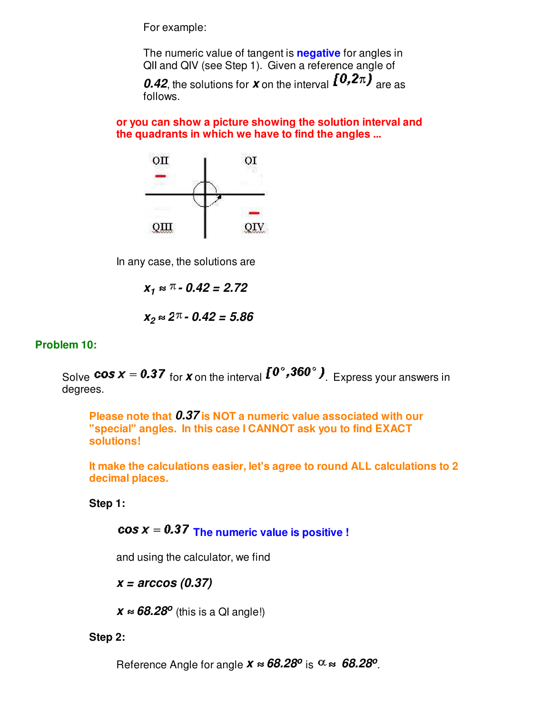For example:

The numeric value of tangent is **negative** for angles in QII and QIV (see Step 1). Given a reference angle of

**0.42**, the solutions for **x** on the interval  $\{0,2\pi\}$  are as follows.

**or you can show a picture showing the solution interval and the quadrants in which we have to find the angles ...**



In any case, the solutions are

**x1 - 0.42 = 2.72**

$$
x_2 \approx 2\pi - 0.42 = 5.86
$$

#### **Problem 10:**

Solve **cos**  $x = 0.37$  for **x** on the interval  $\mathbf{I}^{\mathbf{0}^\circ}$ , 360°  $\mathbf{I}$ . Express your answers in degrees.

**Please note that 0.37 is NOT a numeric value associated with our "special" angles. In this case I CANNOT ask you to find EXACT solutions!**

**It make the calculations easier, let's agree to round ALL calculations to 2 decimal places.** 

**Step 1:**

 $\cos x = 0.37$  The numeric value is positive !

and using the calculator, we find

**x = arccos (0.37)**

*x* **≈ 68.28<sup>o</sup>** (this is a QI angle!)

#### **Step 2:**

Reference Angle for angle  $x \approx 68.28^{\circ}$  is  $\alpha \approx 68.28^{\circ}$ .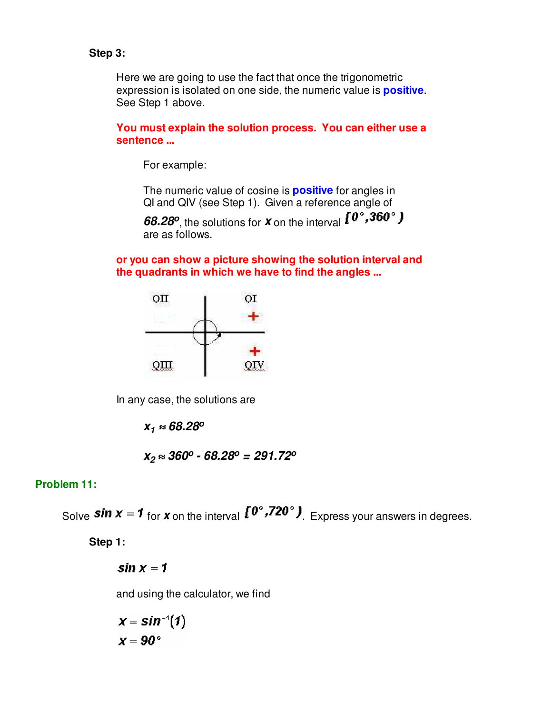## **Step 3:**

Here we are going to use the fact that once the trigonometric expression is isolated on one side, the numeric value is **positive**. See Step 1 above.

**You must explain the solution process. You can either use a sentence ...**

For example:

The numeric value of cosine is **positive** for angles in QI and QIV (see Step 1). Given a reference angle of

**68.28<sup>o</sup>** , the solutions for **x** on the interval are as follows.

**or you can show a picture showing the solution interval and the quadrants in which we have to find the angles ...**



In any case, the solutions are

**x<sup>1</sup> 68.28<sup>o</sup>**

$$
x_2 \approx 360^\circ - 68.28^\circ = 291.72^\circ
$$

#### **Problem 11:**

Solve **Sin**  $x = 1$  for **x** on the interval  $I^{\mathbb{O}^{\circ}}, I^{\mathbb{O}^{\circ}}$ . Express your answers in degrees.

**Step 1:**

 $\sin x = 1$ 

and using the calculator, we find

$$
x = \sin^{-1}(1)
$$

$$
x = 90^{\circ}
$$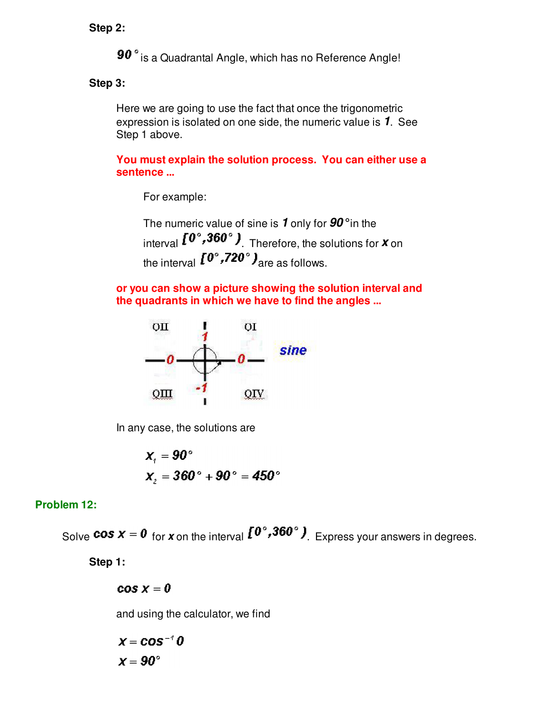**Step 2:**

90° is a Quadrantal Angle, which has no Reference Angle!

**Step 3:** 

Here we are going to use the fact that once the trigonometric expression is isolated on one side, the numeric value is **1**. See Step 1 above.

**You must explain the solution process. You can either use a sentence ...**

For example:

The numeric value of sine is **1** only for **90°** in the interval  $\left[0^{\circ}, 360^{\circ}\right)$ . Therefore, the solutions for **X** on the interval  $I^{0^{\circ},720^{\circ}}$  are as follows.

**or you can show a picture showing the solution interval and the quadrants in which we have to find the angles ...**



In any case, the solutions are

$$
x_1 = 90^\circ
$$
  
 $x_2 = 360^\circ + 90^\circ = 450^\circ$ 

# **Problem 12:**

Solve **cos**  $x = 0$  for x on the interval  $\left[0^\circ, 360^\circ\right)$ . Express your answers in degrees.

**Step 1:**

 $cos x = 0$ 

and using the calculator, we find

$$
x = \cos^{-1} 0
$$

$$
x = 90^{\circ}
$$